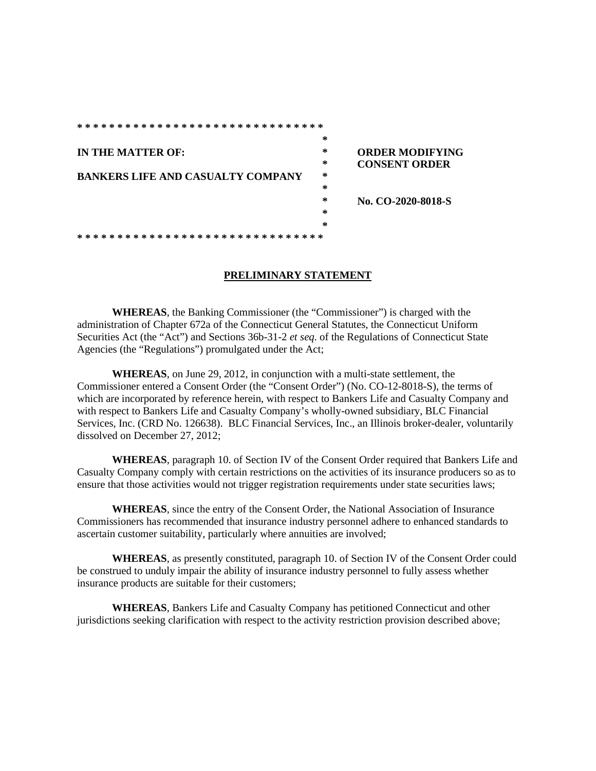| *******************************          |        |                        |
|------------------------------------------|--------|------------------------|
|                                          | *      |                        |
| IN THE MATTER OF:                        | $\ast$ | <b>ORDER MODIFYING</b> |
|                                          | *      | <b>CONSENT ORDER</b>   |
| <b>BANKERS LIFE AND CASUALTY COMPANY</b> | $\ast$ |                        |
|                                          | *      |                        |
|                                          | *      | No. CO-2020-8018-S     |
|                                          | *      |                        |
|                                          | ∗      |                        |
|                                          |        |                        |

## **PRELIMINARY STATEMENT**

**WHEREAS**, the Banking Commissioner (the "Commissioner") is charged with the administration of Chapter 672a of the Connecticut General Statutes, the Connecticut Uniform Securities Act (the "Act") and Sections 36b-31-2 *et seq*. of the Regulations of Connecticut State Agencies (the "Regulations") promulgated under the Act;

**WHEREAS**, on June 29, 2012, in conjunction with a multi-state settlement, the Commissioner entered a Consent Order (the "Consent Order") (No. CO-12-8018-S), the terms of which are incorporated by reference herein, with respect to Bankers Life and Casualty Company and with respect to Bankers Life and Casualty Company's wholly-owned subsidiary, BLC Financial Services, Inc. (CRD No. 126638). BLC Financial Services, Inc., an Illinois broker-dealer, voluntarily dissolved on December 27, 2012;

**WHEREAS**, paragraph 10. of Section IV of the Consent Order required that Bankers Life and Casualty Company comply with certain restrictions on the activities of its insurance producers so as to ensure that those activities would not trigger registration requirements under state securities laws;

**WHEREAS**, since the entry of the Consent Order, the National Association of Insurance Commissioners has recommended that insurance industry personnel adhere to enhanced standards to ascertain customer suitability, particularly where annuities are involved;

**WHEREAS**, as presently constituted, paragraph 10. of Section IV of the Consent Order could be construed to unduly impair the ability of insurance industry personnel to fully assess whether insurance products are suitable for their customers;

**WHEREAS**, Bankers Life and Casualty Company has petitioned Connecticut and other jurisdictions seeking clarification with respect to the activity restriction provision described above;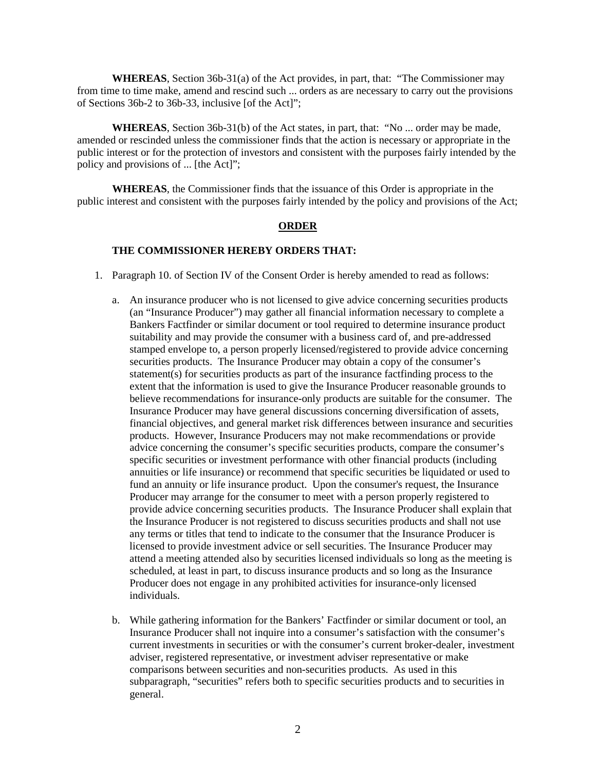**WHEREAS**, Section 36b-31(a) of the Act provides, in part, that: "The Commissioner may from time to time make, amend and rescind such ... orders as are necessary to carry out the provisions of Sections 36b-2 to 36b-33, inclusive [of the Act]";

**WHEREAS**, Section 36b-31(b) of the Act states, in part, that: "No ... order may be made, amended or rescinded unless the commissioner finds that the action is necessary or appropriate in the public interest or for the protection of investors and consistent with the purposes fairly intended by the policy and provisions of ... [the Act]";

**WHEREAS**, the Commissioner finds that the issuance of this Order is appropriate in the public interest and consistent with the purposes fairly intended by the policy and provisions of the Act;

## **ORDER**

## **THE COMMISSIONER HEREBY ORDERS THAT:**

- 1. Paragraph 10. of Section IV of the Consent Order is hereby amended to read as follows:
	- a. An insurance producer who is not licensed to give advice concerning securities products (an "Insurance Producer") may gather all financial information necessary to complete a Bankers Factfinder or similar document or tool required to determine insurance product suitability and may provide the consumer with a business card of, and pre-addressed stamped envelope to, a person properly licensed/registered to provide advice concerning securities products. The Insurance Producer may obtain a copy of the consumer's statement(s) for securities products as part of the insurance factfinding process to the extent that the information is used to give the Insurance Producer reasonable grounds to believe recommendations for insurance-only products are suitable for the consumer. The Insurance Producer may have general discussions concerning diversification of assets, financial objectives, and general market risk differences between insurance and securities products. However, Insurance Producers may not make recommendations or provide advice concerning the consumer's specific securities products, compare the consumer's specific securities or investment performance with other financial products (including annuities or life insurance) or recommend that specific securities be liquidated or used to fund an annuity or life insurance product. Upon the consumer's request, the Insurance Producer may arrange for the consumer to meet with a person properly registered to provide advice concerning securities products. The Insurance Producer shall explain that the Insurance Producer is not registered to discuss securities products and shall not use any terms or titles that tend to indicate to the consumer that the Insurance Producer is licensed to provide investment advice or sell securities. The Insurance Producer may attend a meeting attended also by securities licensed individuals so long as the meeting is scheduled, at least in part, to discuss insurance products and so long as the Insurance Producer does not engage in any prohibited activities for insurance-only licensed individuals.
	- b. While gathering information for the Bankers' Factfinder or similar document or tool, an Insurance Producer shall not inquire into a consumer's satisfaction with the consumer's current investments in securities or with the consumer's current broker-dealer, investment adviser, registered representative, or investment adviser representative or make comparisons between securities and non-securities products. As used in this subparagraph, "securities" refers both to specific securities products and to securities in general.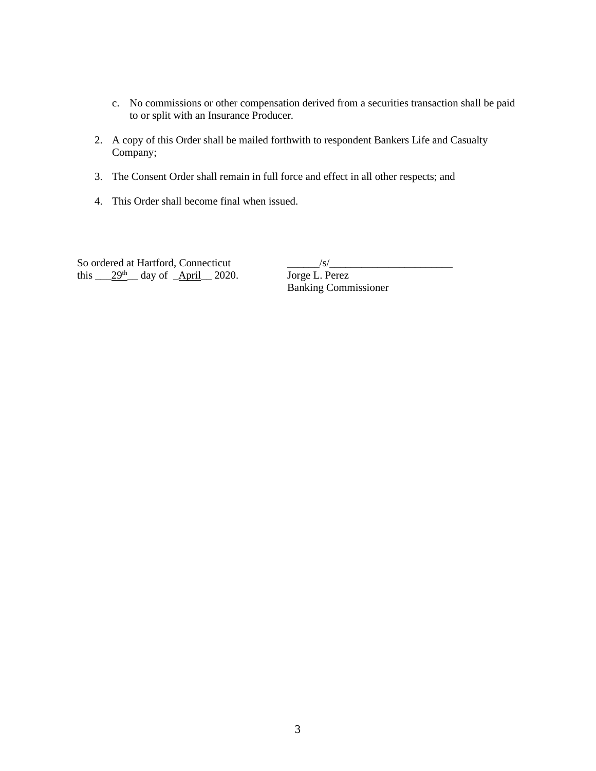- c. No commissions or other compensation derived from a securities transaction shall be paid to or split with an Insurance Producer.
- 2. A copy of this Order shall be mailed forthwith to respondent Bankers Life and Casualty Company;
- 3. The Consent Order shall remain in full force and effect in all other respects; and
- 4. This Order shall become final when issued.

So ordered at Hartford, Connecticut<br>this  $\frac{29^{\text{th}}}{29^{\text{th}}}$  day of  $\frac{\text{April}}{2020}$ . Jorge L. Perez this  $29<sup>th</sup>$  day of April 2020.

Banking Commissioner